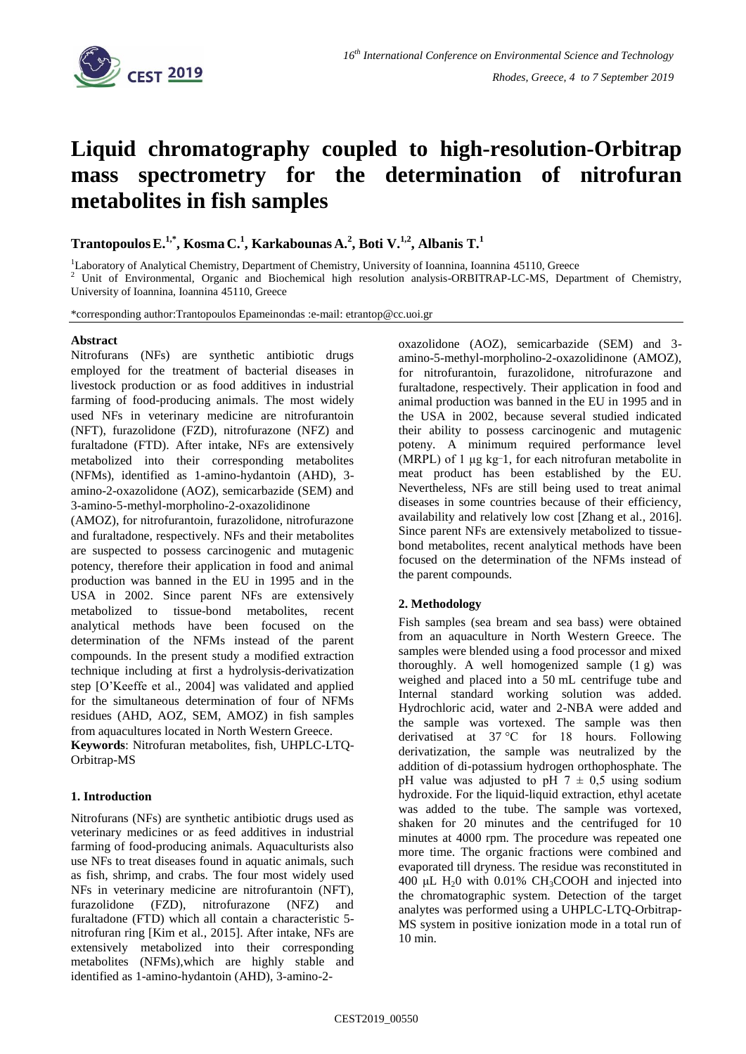

# **Liquid chromatography coupled to high-resolution-Orbitrap mass spectrometry for the determination of nitrofuran metabolites in fish samples**

**TrantopoulosE.1,\* , Kosma C.<sup>1</sup> , Karkabounas A.<sup>2</sup> , Boti V.1,2, Albanis T.<sup>1</sup>**

<sup>1</sup>Laboratory of Analytical Chemistry, Department of Chemistry, University of Ioannina, Ioannina 45110, Greece

<sup>2</sup> Unit of Environmental, Organic and Biochemical high resolution analysis-ORBITRAP-LC-MS, Department of Chemistry, University of Ioannina, Ioannina 45110, Greece

\*corresponding author:Trantopoulos Epameinondas :e-mail: etrantop@cc.uoi.gr

#### **Abstract**

Nitrofurans (NFs) are synthetic antibiotic drugs employed for the treatment of bacterial diseases in livestock production or as food additives in industrial farming of food-producing animals. The most widely used NFs in veterinary medicine are nitrofurantoin (NFT), furazolidone (FZD), nitrofurazone (NFZ) and furaltadone (FTD). After intake, NFs are extensively metabolized into their corresponding metabolites (NFMs), identified as 1-amino-hydantoin (AHD), 3 amino-2-oxazolidone (AOZ), semicarbazide (SEM) and 3-amino-5-methyl-morpholino-2-oxazolidinone

(AMOZ), for nitrofurantoin, furazolidone, nitrofurazone and furaltadone, respectively. NFs and their metabolites are suspected to possess carcinogenic and mutagenic potency, therefore their application in food and animal production was banned in the EU in 1995 and in the USA in 2002. Since parent NFs are extensively metabolized to tissue-bond metabolites, recent analytical methods have been focused on the determination of the NFMs instead of the parent compounds. In the present study a modified extraction technique including at first a hydrolysis-derivatization step [O'Keeffe et al., 2004] was validated and applied for the simultaneous determination of four of NFMs residues (AHD, AOZ, SEM, AMOZ) in fish samples from aquacultures located in North Western Greece.

**Keywords**: Nitrofuran metabolites, fish, UHPLC-LTQ-Orbitrap-MS

# **1. Introduction**

Nitrofurans (NFs) are synthetic antibiotic drugs used as veterinary medicines or as feed additives in industrial farming of food-producing animals. Aquaculturists also use NFs to treat diseases found in aquatic animals, such as fish, shrimp, and crabs. The four most widely used NFs in veterinary medicine are nitrofurantoin (NFT), furazolidone (FZD), nitrofurazone (NFZ) and furaltadone (FTD) which all contain a characteristic 5 nitrofuran ring [Kim et al., 2015]. After intake, NFs are extensively metabolized into their corresponding metabolites (NFMs),which are highly stable and identified as 1-amino-hydantoin (AHD), 3-amino-2oxazolidone (AOZ), semicarbazide (SEM) and 3 amino-5-methyl-morpholino-2-oxazolidinone (AMOZ), for nitrofurantoin, furazolidone, nitrofurazone and furaltadone, respectively. Their application in food and animal production was banned in the EU in 1995 and in the USA in 2002, because several studied indicated their ability to possess carcinogenic and mutagenic poteny. A minimum required performance level (MRPL) of 1 μg kg\_ 1, for each nitrofuran metabolite in meat product has been established by the EU. Nevertheless, NFs are still being used to treat animal diseases in some countries because of their efficiency, availability and relatively low cost [Zhang et al., 2016]. Since parent NFs are extensively metabolized to tissuebond metabolites, recent analytical methods have been focused on the determination of the NFMs instead of the parent compounds.

# **2. Methodology**

Fish samples (sea bream and sea bass) were obtained from an aquaculture in North Western Greece. The samples were blended using a food processor and mixed thoroughly. A well homogenized sample (1 g) was weighed and placed into a 50 mL centrifuge tube and Internal standard working solution was added. Hydrochloric acid, water and 2-NBA were added and the sample was vortexed. The sample was then derivatised at 37 °C for 18 hours. Following derivatization, the sample was neutralized by the addition of di-potassium hydrogen orthophosphate. The pH value was adjusted to pH  $7 \pm 0.5$  using sodium hydroxide. For the liquid-liquid extraction, ethyl acetate was added to the tube. The sample was vortexed, shaken for 20 minutes and the centrifuged for 10 minutes at 4000 rpm. The procedure was repeated one more time. The organic fractions were combined and evaporated till dryness. The residue was reconstituted in 400 μL H<sub>2</sub>0 with 0.01% CH<sub>3</sub>COOH and injected into the chromatographic system. Detection of the target analytes was performed using a UHPLC-LTQ-Orbitrap-MS system in positive ionization mode in a total run of 10 min.